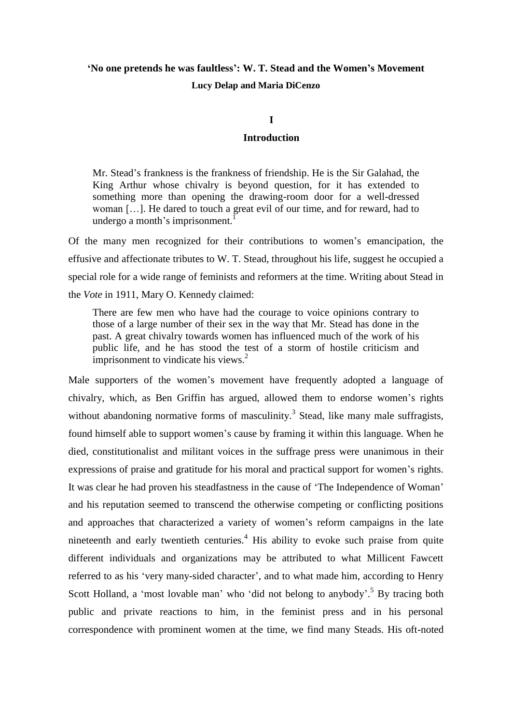# **'No one pretends he was faultless': W. T. Stead and the Women's Movement Lucy Delap and Maria DiCenzo**

# **I**

# **Introduction**

Mr. Stead's frankness is the frankness of friendship. He is the Sir Galahad, the King Arthur whose chivalry is beyond question, for it has extended to something more than opening the drawing-room door for a well-dressed woman […]. He dared to touch a great evil of our time, and for reward, had to undergo a month's imprisonment.

Of the many men recognized for their contributions to women's emancipation, the effusive and affectionate tributes to W. T. Stead, throughout his life, suggest he occupied a special role for a wide range of feminists and reformers at the time. Writing about Stead in the *Vote* in 1911, Mary O. Kennedy claimed:

There are few men who have had the courage to voice opinions contrary to those of a large number of their sex in the way that Mr. Stead has done in the past. A great chivalry towards women has influenced much of the work of his public life, and he has stood the test of a storm of hostile criticism and imprisonment to vindicate his views. $2$ 

Male supporters of the women's movement have frequently adopted a language of chivalry, which, as Ben Griffin has argued, allowed them to endorse women's rights without abandoning normative forms of masculinity.<sup>3</sup> Stead, like many male suffragists, found himself able to support women's cause by framing it within this language. When he died, constitutionalist and militant voices in the suffrage press were unanimous in their expressions of praise and gratitude for his moral and practical support for women's rights. It was clear he had proven his steadfastness in the cause of 'The Independence of Woman' and his reputation seemed to transcend the otherwise competing or conflicting positions and approaches that characterized a variety of women's reform campaigns in the late nineteenth and early twentieth centuries.<sup>4</sup> His ability to evoke such praise from quite different individuals and organizations may be attributed to what Millicent Fawcett referred to as his 'very many-sided character', and to what made him, according to Henry Scott Holland, a 'most lovable man' who 'did not belong to anybody'.<sup>5</sup> By tracing both public and private reactions to him, in the feminist press and in his personal correspondence with prominent women at the time, we find many Steads. His oft-noted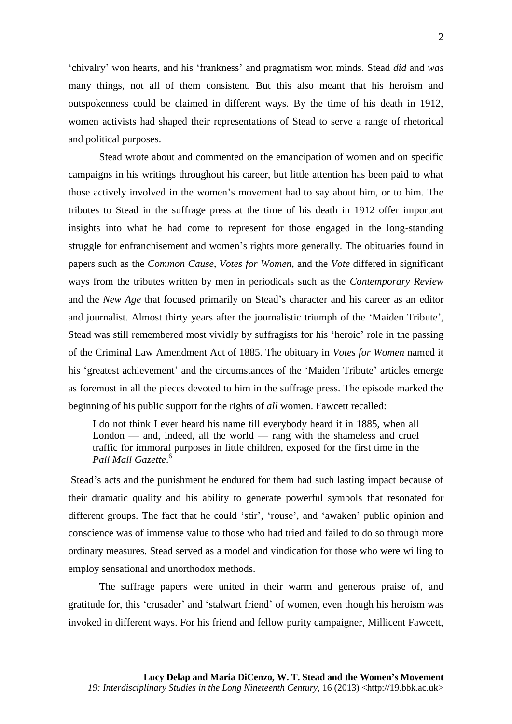'chivalry' won hearts, and his 'frankness' and pragmatism won minds. Stead *did* and *was* many things, not all of them consistent. But this also meant that his heroism and outspokenness could be claimed in different ways. By the time of his death in 1912, women activists had shaped their representations of Stead to serve a range of rhetorical and political purposes.

Stead wrote about and commented on the emancipation of women and on specific campaigns in his writings throughout his career, but little attention has been paid to what those actively involved in the women's movement had to say about him, or to him. The tributes to Stead in the suffrage press at the time of his death in 1912 offer important insights into what he had come to represent for those engaged in the long-standing struggle for enfranchisement and women's rights more generally. The obituaries found in papers such as the *Common Cause*, *Votes for Women*, and the *Vote* differed in significant ways from the tributes written by men in periodicals such as the *Contemporary Review* and the *New Age* that focused primarily on Stead's character and his career as an editor and journalist. Almost thirty years after the journalistic triumph of the 'Maiden Tribute', Stead was still remembered most vividly by suffragists for his 'heroic' role in the passing of the Criminal Law Amendment Act of 1885. The obituary in *Votes for Women* named it his 'greatest achievement' and the circumstances of the 'Maiden Tribute' articles emerge as foremost in all the pieces devoted to him in the suffrage press. The episode marked the beginning of his public support for the rights of *all* women. Fawcett recalled:

I do not think I ever heard his name till everybody heard it in 1885, when all London — and, indeed, all the world — rang with the shameless and cruel traffic for immoral purposes in little children, exposed for the first time in the *Pall Mall Gazette*. 6

Stead's acts and the punishment he endured for them had such lasting impact because of their dramatic quality and his ability to generate powerful symbols that resonated for different groups. The fact that he could 'stir', 'rouse', and 'awaken' public opinion and conscience was of immense value to those who had tried and failed to do so through more ordinary measures. Stead served as a model and vindication for those who were willing to employ sensational and unorthodox methods.

The suffrage papers were united in their warm and generous praise of, and gratitude for, this 'crusader' and 'stalwart friend' of women, even though his heroism was invoked in different ways. For his friend and fellow purity campaigner, Millicent Fawcett,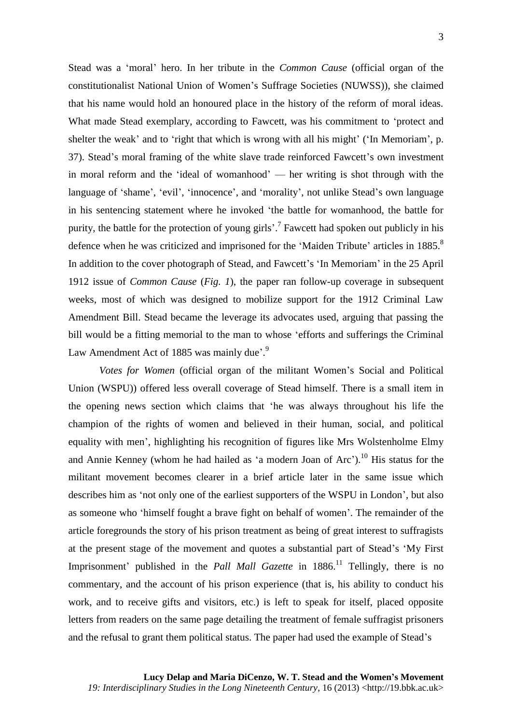3

Stead was a 'moral' hero. In her tribute in the *Common Cause* (official organ of the constitutionalist National Union of Women's Suffrage Societies (NUWSS)), she claimed that his name would hold an honoured place in the history of the reform of moral ideas. What made Stead exemplary, according to Fawcett, was his commitment to 'protect and shelter the weak' and to 'right that which is wrong with all his might' ('In Memoriam', p. 37). Stead's moral framing of the white slave trade reinforced Fawcett's own investment in moral reform and the 'ideal of womanhood' — her writing is shot through with the language of 'shame', 'evil', 'innocence', and 'morality', not unlike Stead's own language in his sentencing statement where he invoked 'the battle for womanhood, the battle for purity, the battle for the protection of young girls'.<sup>7</sup> Fawcett had spoken out publicly in his defence when he was criticized and imprisoned for the 'Maiden Tribute' articles in 1885.<sup>8</sup> In addition to the cover photograph of Stead, and Fawcett's 'In Memoriam' in the 25 April 1912 issue of *Common Cause* (*Fig. 1*), the paper ran follow-up coverage in subsequent weeks, most of which was designed to mobilize support for the 1912 Criminal Law Amendment Bill. Stead became the leverage its advocates used, arguing that passing the bill would be a fitting memorial to the man to whose 'efforts and sufferings the Criminal Law Amendment Act of 1885 was mainly due'.<sup>9</sup>

*Votes for Women* (official organ of the militant Women's Social and Political Union (WSPU)) offered less overall coverage of Stead himself. There is a small item in the opening news section which claims that 'he was always throughout his life the champion of the rights of women and believed in their human, social, and political equality with men', highlighting his recognition of figures like Mrs Wolstenholme Elmy and Annie Kenney (whom he had hailed as 'a modern Joan of  $Arc$ ).<sup>10</sup> His status for the militant movement becomes clearer in a brief article later in the same issue which describes him as 'not only one of the earliest supporters of the WSPU in London', but also as someone who 'himself fought a brave fight on behalf of women'. The remainder of the article foregrounds the story of his prison treatment as being of great interest to suffragists at the present stage of the movement and quotes a substantial part of Stead's 'My First Imprisonment' published in the *Pall Mall Gazette* in 1886.<sup>11</sup> Tellingly, there is no commentary, and the account of his prison experience (that is, his ability to conduct his work, and to receive gifts and visitors, etc.) is left to speak for itself, placed opposite letters from readers on the same page detailing the treatment of female suffragist prisoners and the refusal to grant them political status. The paper had used the example of Stead's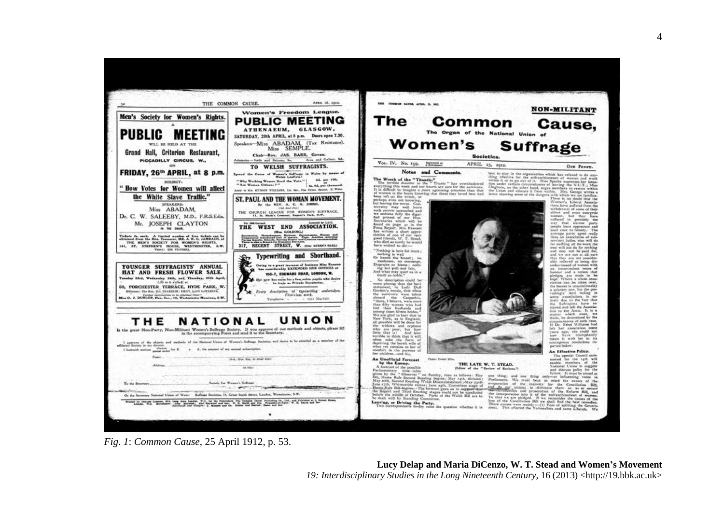



and we are not as a mass of the set of the set of the set of the set of the set of the set of the set of the set of the set of the set of the set of the set of the set of the set of the set of the set of the set of the se left her association some<br>years ago, she could not<br>years ago, she could not<br>year have triamphantly

taken it with her in its<br>contagenus resolutions re-<br>ported-below. An Effective Policy.

*Fig. 1*: *Common Cause*, 25 April 1912, p. 53.

**Lucy Delap and Maria DiCenzo, W. T. Stead and Women's Movement** *19: Interdisciplinary Studies in the Long Nineteenth Century, 16 (2013) <http://19.bbk.ac.uk>*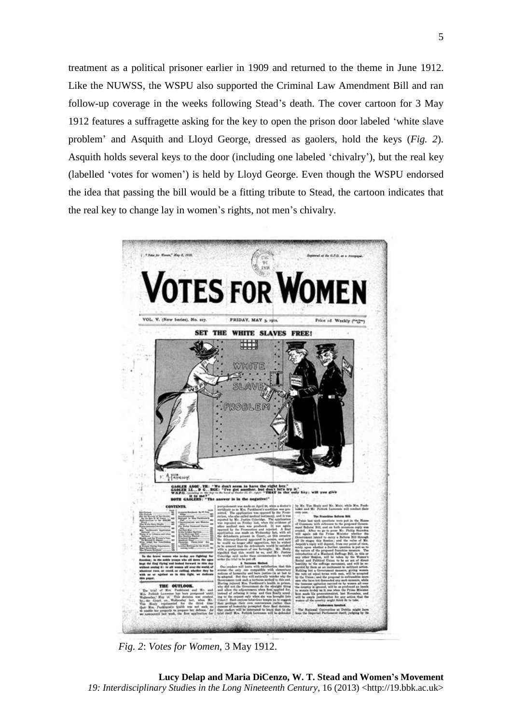treatment as a political prisoner earlier in 1909 and returned to the theme in June 1912. Like the NUWSS, the WSPU also supported the Criminal Law Amendment Bill and ran follow-up coverage in the weeks following Stead's death. The cover cartoon for 3 May 1912 features a suffragette asking for the key to open the prison door labeled 'white slave problem' and Asquith and Lloyd George, dressed as gaolers, hold the keys (*Fig. 2*). Asquith holds several keys to the door (including one labeled 'chivalry'), but the real key (labelled 'votes for women') is held by Lloyd George. Even though the WSPU endorsed the idea that passing the bill would be a fitting tribute to Stead, the cartoon indicates that the real key to change lay in women's rights, not men's chivalry.



*Fig. 2*: *Votes for Women*, 3 May 1912.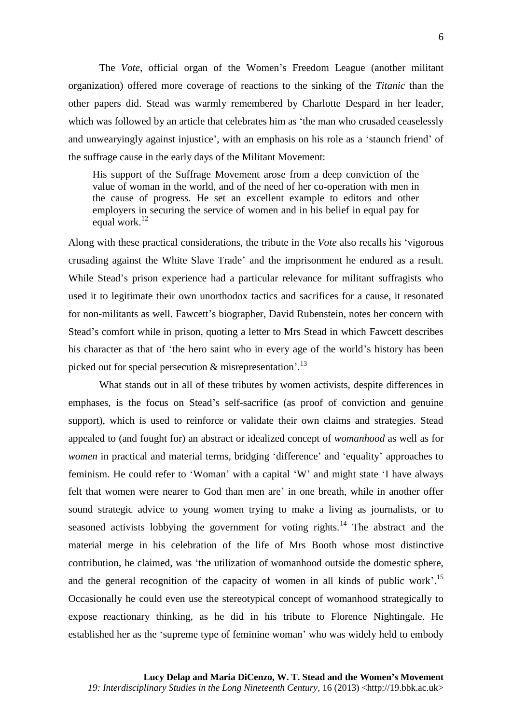The *Vote*, official organ of the Women's Freedom League (another militant organization) offered more coverage of reactions to the sinking of the *Titanic* than the other papers did. Stead was warmly remembered by Charlotte Despard in her leader, which was followed by an article that celebrates him as 'the man who crusaded ceaselessly and unwearyingly against injustice', with an emphasis on his role as a 'staunch friend' of the suffrage cause in the early days of the Militant Movement:

His support of the Suffrage Movement arose from a deep conviction of the value of woman in the world, and of the need of her co-operation with men in the cause of progress. He set an excellent example to editors and other employers in securing the service of women and in his belief in equal pay for equal work. $12$ 

Along with these practical considerations, the tribute in the *Vote* also recalls his 'vigorous crusading against the White Slave Trade' and the imprisonment he endured as a result. While Stead's prison experience had a particular relevance for militant suffragists who used it to legitimate their own unorthodox tactics and sacrifices for a cause, it resonated for non-militants as well. Fawcett's biographer, David Rubenstein, notes her concern with Stead's comfort while in prison, quoting a letter to Mrs Stead in which Fawcett describes his character as that of 'the hero saint who in every age of the world's history has been picked out for special persecution & misrepresentation'.<sup>13</sup>

What stands out in all of these tributes by women activists, despite differences in emphases, is the focus on Stead's self-sacrifice (as proof of conviction and genuine support), which is used to reinforce or validate their own claims and strategies. Stead appealed to (and fought for) an abstract or idealized concept of *womanhood* as well as for *women* in practical and material terms, bridging 'difference' and 'equality' approaches to feminism. He could refer to 'Woman' with a capital 'W' and might state 'I have always felt that women were nearer to God than men are' in one breath, while in another offer sound strategic advice to young women trying to make a living as journalists, or to seasoned activists lobbying the government for voting rights.<sup>14</sup> The abstract and the material merge in his celebration of the life of Mrs Booth whose most distinctive contribution, he claimed, was 'the utilization of womanhood outside the domestic sphere, and the general recognition of the capacity of women in all kinds of public work'.<sup>15</sup> Occasionally he could even use the stereotypical concept of womanhood strategically to expose reactionary thinking, as he did in his tribute to Florence Nightingale. He established her as the 'supreme type of feminine woman' who was widely held to embody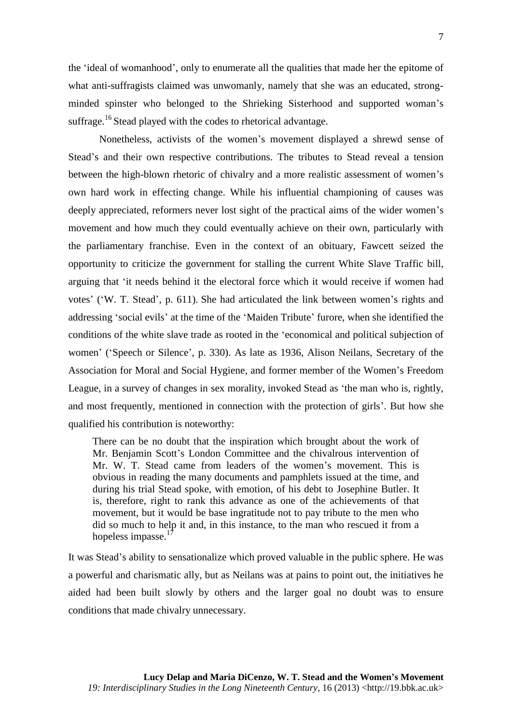the 'ideal of womanhood', only to enumerate all the qualities that made her the epitome of what anti-suffragists claimed was unwomanly, namely that she was an educated, strongminded spinster who belonged to the Shrieking Sisterhood and supported woman's suffrage.<sup>16</sup> Stead played with the codes to rhetorical advantage.

Nonetheless, activists of the women's movement displayed a shrewd sense of Stead's and their own respective contributions. The tributes to Stead reveal a tension between the high-blown rhetoric of chivalry and a more realistic assessment of women's own hard work in effecting change. While his influential championing of causes was deeply appreciated, reformers never lost sight of the practical aims of the wider women's movement and how much they could eventually achieve on their own, particularly with the parliamentary franchise. Even in the context of an obituary, Fawcett seized the opportunity to criticize the government for stalling the current White Slave Traffic bill, arguing that 'it needs behind it the electoral force which it would receive if women had votes' ('W. T. Stead', p. 611). She had articulated the link between women's rights and addressing 'social evils' at the time of the 'Maiden Tribute' furore, when she identified the conditions of the white slave trade as rooted in the 'economical and political subjection of women' ('Speech or Silence', p. 330). As late as 1936, Alison Neilans, Secretary of the Association for Moral and Social Hygiene, and former member of the Women's Freedom League, in a survey of changes in sex morality, invoked Stead as 'the man who is, rightly, and most frequently, mentioned in connection with the protection of girls'. But how she qualified his contribution is noteworthy:

There can be no doubt that the inspiration which brought about the work of Mr. Benjamin Scott's London Committee and the chivalrous intervention of Mr. W. T. Stead came from leaders of the women's movement. This is obvious in reading the many documents and pamphlets issued at the time, and during his trial Stead spoke, with emotion, of his debt to Josephine Butler. It is, therefore, right to rank this advance as one of the achievements of that movement, but it would be base ingratitude not to pay tribute to the men who did so much to help it and, in this instance, to the man who rescued it from a hopeless impasse.<sup>1</sup>

It was Stead's ability to sensationalize which proved valuable in the public sphere. He was a powerful and charismatic ally, but as Neilans was at pains to point out, the initiatives he aided had been built slowly by others and the larger goal no doubt was to ensure conditions that made chivalry unnecessary.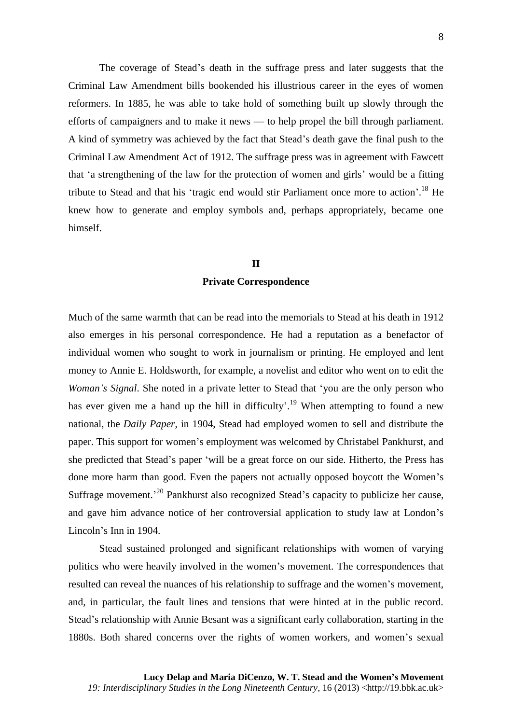The coverage of Stead's death in the suffrage press and later suggests that the Criminal Law Amendment bills bookended his illustrious career in the eyes of women reformers. In 1885, he was able to take hold of something built up slowly through the efforts of campaigners and to make it news — to help propel the bill through parliament. A kind of symmetry was achieved by the fact that Stead's death gave the final push to the Criminal Law Amendment Act of 1912. The suffrage press was in agreement with Fawcett that 'a strengthening of the law for the protection of women and girls' would be a fitting tribute to Stead and that his 'tragic end would stir Parliament once more to action'.<sup>18</sup> He knew how to generate and employ symbols and, perhaps appropriately, became one himself.

# **II**

# **Private Correspondence**

Much of the same warmth that can be read into the memorials to Stead at his death in 1912 also emerges in his personal correspondence. He had a reputation as a benefactor of individual women who sought to work in journalism or printing. He employed and lent money to Annie E. Holdsworth, for example, a novelist and editor who went on to edit the *Woman's Signal*. She noted in a private letter to Stead that 'you are the only person who has ever given me a hand up the hill in difficulty'.<sup>19</sup> When attempting to found a new national, the *Daily Paper*, in 1904, Stead had employed women to sell and distribute the paper. This support for women's employment was welcomed by Christabel Pankhurst, and she predicted that Stead's paper 'will be a great force on our side. Hitherto, the Press has done more harm than good. Even the papers not actually opposed boycott the Women's Suffrage movement.<sup>20</sup> Pankhurst also recognized Stead's capacity to publicize her cause, and gave him advance notice of her controversial application to study law at London's Lincoln's Inn in 1904.

Stead sustained prolonged and significant relationships with women of varying politics who were heavily involved in the women's movement. The correspondences that resulted can reveal the nuances of his relationship to suffrage and the women's movement, and, in particular, the fault lines and tensions that were hinted at in the public record. Stead's relationship with Annie Besant was a significant early collaboration, starting in the 1880s. Both shared concerns over the rights of women workers, and women's sexual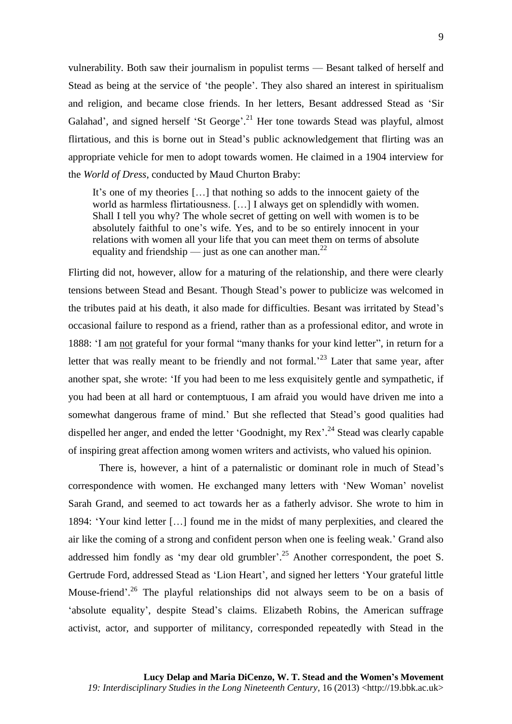vulnerability. Both saw their journalism in populist terms — Besant talked of herself and Stead as being at the service of 'the people'. They also shared an interest in spiritualism and religion, and became close friends. In her letters, Besant addressed Stead as 'Sir Galahad', and signed herself 'St George'.<sup>21</sup> Her tone towards Stead was playful, almost flirtatious, and this is borne out in Stead's public acknowledgement that flirting was an appropriate vehicle for men to adopt towards women. He claimed in a 1904 interview for the *World of Dress*, conducted by Maud Churton Braby:

It's one of my theories […] that nothing so adds to the innocent gaiety of the world as harmless flirtatiousness. […] I always get on splendidly with women. Shall I tell you why? The whole secret of getting on well with women is to be absolutely faithful to one's wife. Yes, and to be so entirely innocent in your relations with women all your life that you can meet them on terms of absolute equality and friendship — just as one can another man.<sup>22</sup>

Flirting did not, however, allow for a maturing of the relationship, and there were clearly tensions between Stead and Besant. Though Stead's power to publicize was welcomed in the tributes paid at his death, it also made for difficulties. Besant was irritated by Stead's occasional failure to respond as a friend, rather than as a professional editor, and wrote in 1888: 'I am not grateful for your formal "many thanks for your kind letter", in return for a letter that was really meant to be friendly and not formal.<sup>23</sup> Later that same year, after another spat, she wrote: 'If you had been to me less exquisitely gentle and sympathetic, if you had been at all hard or contemptuous, I am afraid you would have driven me into a somewhat dangerous frame of mind.' But she reflected that Stead's good qualities had dispelled her anger, and ended the letter 'Goodnight, my Rex'.<sup>24</sup> Stead was clearly capable of inspiring great affection among women writers and activists, who valued his opinion.

There is, however, a hint of a paternalistic or dominant role in much of Stead's correspondence with women. He exchanged many letters with 'New Woman' novelist Sarah Grand, and seemed to act towards her as a fatherly advisor. She wrote to him in 1894: 'Your kind letter […] found me in the midst of many perplexities, and cleared the air like the coming of a strong and confident person when one is feeling weak.' Grand also addressed him fondly as 'my dear old grumbler'.<sup>25</sup> Another correspondent, the poet S. Gertrude Ford, addressed Stead as 'Lion Heart', and signed her letters 'Your grateful little Mouse-friend'.<sup>26</sup> The playful relationships did not always seem to be on a basis of 'absolute equality', despite Stead's claims. Elizabeth Robins, the American suffrage activist, actor, and supporter of militancy, corresponded repeatedly with Stead in the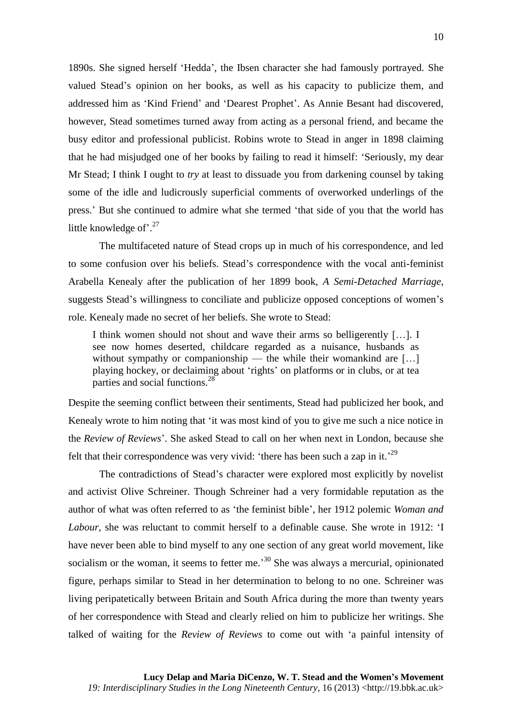1890s. She signed herself 'Hedda', the Ibsen character she had famously portrayed. She valued Stead's opinion on her books, as well as his capacity to publicize them, and addressed him as 'Kind Friend' and 'Dearest Prophet'. As Annie Besant had discovered, however, Stead sometimes turned away from acting as a personal friend, and became the busy editor and professional publicist. Robins wrote to Stead in anger in 1898 claiming that he had misjudged one of her books by failing to read it himself: 'Seriously, my dear Mr Stead; I think I ought to *try* at least to dissuade you from darkening counsel by taking some of the idle and ludicrously superficial comments of overworked underlings of the press.' But she continued to admire what she termed 'that side of you that the world has little knowledge of'.<sup>27</sup>

The multifaceted nature of Stead crops up in much of his correspondence, and led to some confusion over his beliefs. Stead's correspondence with the vocal anti-feminist Arabella Kenealy after the publication of her 1899 book, *A Semi-Detached Marriage*, suggests Stead's willingness to conciliate and publicize opposed conceptions of women's role. Kenealy made no secret of her beliefs. She wrote to Stead:

I think women should not shout and wave their arms so belligerently […]. I see now homes deserted, childcare regarded as a nuisance, husbands as without sympathy or companionship — the while their womankind are [...] playing hockey, or declaiming about 'rights' on platforms or in clubs, or at tea parties and social functions.<sup>28</sup>

Despite the seeming conflict between their sentiments, Stead had publicized her book, and Kenealy wrote to him noting that 'it was most kind of you to give me such a nice notice in the *Review of Reviews*'. She asked Stead to call on her when next in London, because she felt that their correspondence was very vivid: 'there has been such a zap in it.'<sup>29</sup>

The contradictions of Stead's character were explored most explicitly by novelist and activist Olive Schreiner. Though Schreiner had a very formidable reputation as the author of what was often referred to as 'the feminist bible', her 1912 polemic *Woman and Labour*, she was reluctant to commit herself to a definable cause. She wrote in 1912: 'I have never been able to bind myself to any one section of any great world movement, like socialism or the woman, it seems to fetter me.<sup>30</sup> She was always a mercurial, opinionated figure, perhaps similar to Stead in her determination to belong to no one. Schreiner was living peripatetically between Britain and South Africa during the more than twenty years of her correspondence with Stead and clearly relied on him to publicize her writings. She talked of waiting for the *Review of Reviews* to come out with 'a painful intensity of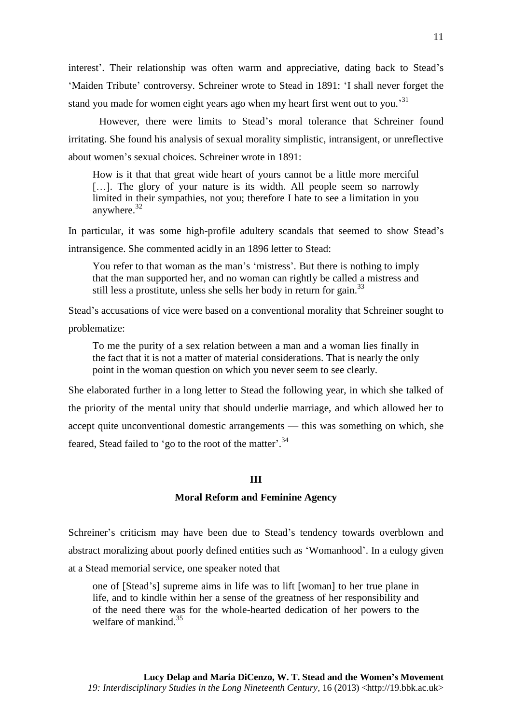interest'. Their relationship was often warm and appreciative, dating back to Stead's 'Maiden Tribute' controversy. Schreiner wrote to Stead in 1891: 'I shall never forget the stand you made for women eight years ago when my heart first went out to you.<sup>31</sup>

However, there were limits to Stead's moral tolerance that Schreiner found irritating. She found his analysis of sexual morality simplistic, intransigent, or unreflective about women's sexual choices. Schreiner wrote in 1891:

How is it that that great wide heart of yours cannot be a little more merciful [...]. The glory of your nature is its width. All people seem so narrowly limited in their sympathies, not you; therefore I hate to see a limitation in you anywhere.<sup>32</sup>

In particular, it was some high-profile adultery scandals that seemed to show Stead's intransigence. She commented acidly in an 1896 letter to Stead:

You refer to that woman as the man's 'mistress'. But there is nothing to imply that the man supported her, and no woman can rightly be called a mistress and still less a prostitute, unless she sells her body in return for gain.<sup>33</sup>

Stead's accusations of vice were based on a conventional morality that Schreiner sought to problematize:

To me the purity of a sex relation between a man and a woman lies finally in the fact that it is not a matter of material considerations. That is nearly the only point in the woman question on which you never seem to see clearly.

She elaborated further in a long letter to Stead the following year, in which she talked of the priority of the mental unity that should underlie marriage, and which allowed her to accept quite unconventional domestic arrangements — this was something on which, she feared, Stead failed to 'go to the root of the matter'.<sup>34</sup>

### **III**

#### **Moral Reform and Feminine Agency**

Schreiner's criticism may have been due to Stead's tendency towards overblown and abstract moralizing about poorly defined entities such as 'Womanhood'. In a eulogy given at a Stead memorial service, one speaker noted that

one of [Stead's] supreme aims in life was to lift [woman] to her true plane in life, and to kindle within her a sense of the greatness of her responsibility and of the need there was for the whole-hearted dedication of her powers to the welfare of mankind. 35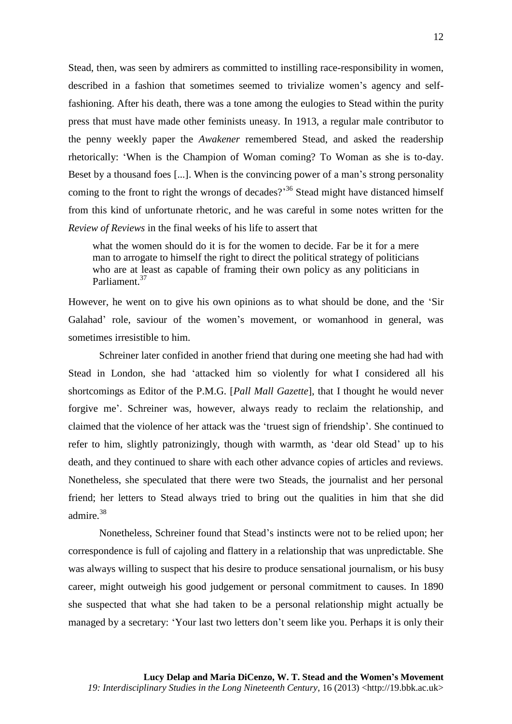Stead, then, was seen by admirers as committed to instilling race-responsibility in women, described in a fashion that sometimes seemed to trivialize women's agency and selffashioning. After his death, there was a tone among the eulogies to Stead within the purity press that must have made other feminists uneasy. In 1913, a regular male contributor to the penny weekly paper the *Awakener* remembered Stead, and asked the readership rhetorically: 'When is the Champion of Woman coming? To Woman as she is to-day. Beset by a thousand foes [...]. When is the convincing power of a man's strong personality coming to the front to right the wrongs of decades?<sup>36</sup> Stead might have distanced himself from this kind of unfortunate rhetoric, and he was careful in some notes written for the *Review of Reviews* in the final weeks of his life to assert that

what the women should do it is for the women to decide. Far be it for a mere man to arrogate to himself the right to direct the political strategy of politicians who are at least as capable of framing their own policy as any politicians in Parliament.<sup>37</sup>

However, he went on to give his own opinions as to what should be done, and the 'Sir Galahad' role, saviour of the women's movement, or womanhood in general, was sometimes irresistible to him.

Schreiner later confided in another friend that during one meeting she had had with Stead in London, she had 'attacked him so violently for what I considered all his shortcomings as Editor of the P.M.G. [*Pall Mall Gazette*], that I thought he would never forgive me'. Schreiner was, however, always ready to reclaim the relationship, and claimed that the violence of her attack was the 'truest sign of friendship'. She continued to refer to him, slightly patronizingly, though with warmth, as 'dear old Stead' up to his death, and they continued to share with each other advance copies of articles and reviews. Nonetheless, she speculated that there were two Steads, the journalist and her personal friend; her letters to Stead always tried to bring out the qualities in him that she did admire.<sup>38</sup>

Nonetheless, Schreiner found that Stead's instincts were not to be relied upon; her correspondence is full of cajoling and flattery in a relationship that was unpredictable. She was always willing to suspect that his desire to produce sensational journalism, or his busy career, might outweigh his good judgement or personal commitment to causes. In 1890 she suspected that what she had taken to be a personal relationship might actually be managed by a secretary: 'Your last two letters don't seem like you. Perhaps it is only their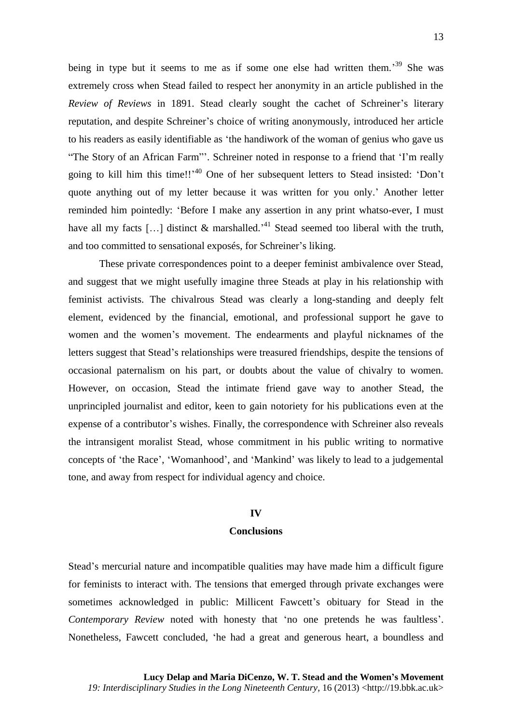being in type but it seems to me as if some one else had written them.<sup>39</sup> She was extremely cross when Stead failed to respect her anonymity in an article published in the *Review of Reviews* in 1891. Stead clearly sought the cachet of Schreiner's literary reputation, and despite Schreiner's choice of writing anonymously, introduced her article to his readers as easily identifiable as 'the handiwork of the woman of genius who gave us "The Story of an African Farm"'. Schreiner noted in response to a friend that 'I'm really going to kill him this time!!'<sup>40</sup> One of her subsequent letters to Stead insisted: 'Don't quote anything out of my letter because it was written for you only.' Another letter reminded him pointedly: 'Before I make any assertion in any print whatso-ever, I must have all my facts [...] distinct  $\&$  marshalled.<sup>41</sup> Stead seemed too liberal with the truth, and too committed to sensational exposés, for Schreiner's liking.

These private correspondences point to a deeper feminist ambivalence over Stead, and suggest that we might usefully imagine three Steads at play in his relationship with feminist activists. The chivalrous Stead was clearly a long-standing and deeply felt element, evidenced by the financial, emotional, and professional support he gave to women and the women's movement. The endearments and playful nicknames of the letters suggest that Stead's relationships were treasured friendships, despite the tensions of occasional paternalism on his part, or doubts about the value of chivalry to women. However, on occasion, Stead the intimate friend gave way to another Stead, the unprincipled journalist and editor, keen to gain notoriety for his publications even at the expense of a contributor's wishes. Finally, the correspondence with Schreiner also reveals the intransigent moralist Stead, whose commitment in his public writing to normative concepts of 'the Race', 'Womanhood', and 'Mankind' was likely to lead to a judgemental tone, and away from respect for individual agency and choice.

#### **IV**

#### **Conclusions**

Stead's mercurial nature and incompatible qualities may have made him a difficult figure for feminists to interact with. The tensions that emerged through private exchanges were sometimes acknowledged in public: Millicent Fawcett's obituary for Stead in the *Contemporary Review* noted with honesty that 'no one pretends he was faultless'. Nonetheless, Fawcett concluded, 'he had a great and generous heart, a boundless and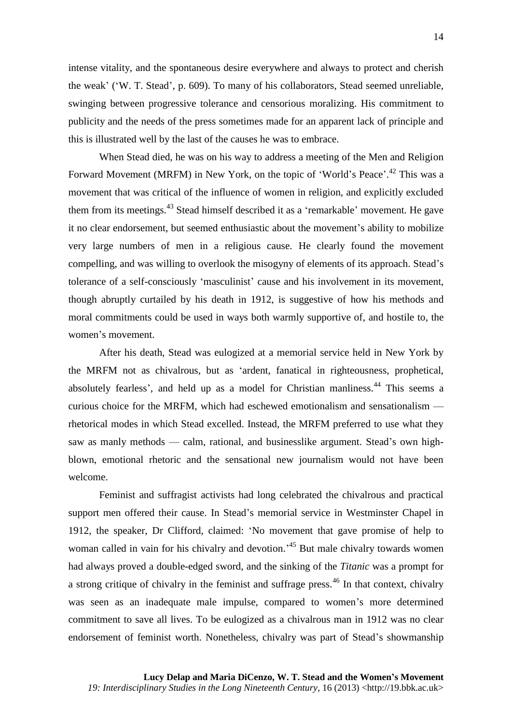intense vitality, and the spontaneous desire everywhere and always to protect and cherish the weak' ('W. T. Stead', p. 609). To many of his collaborators, Stead seemed unreliable, swinging between progressive tolerance and censorious moralizing. His commitment to publicity and the needs of the press sometimes made for an apparent lack of principle and this is illustrated well by the last of the causes he was to embrace.

When Stead died, he was on his way to address a meeting of the Men and Religion Forward Movement (MRFM) in New York, on the topic of 'World's Peace'.<sup>42</sup> This was a movement that was critical of the influence of women in religion, and explicitly excluded them from its meetings.<sup>43</sup> Stead himself described it as a 'remarkable' movement. He gave it no clear endorsement, but seemed enthusiastic about the movement's ability to mobilize very large numbers of men in a religious cause. He clearly found the movement compelling, and was willing to overlook the misogyny of elements of its approach. Stead's tolerance of a self-consciously 'masculinist' cause and his involvement in its movement, though abruptly curtailed by his death in 1912, is suggestive of how his methods and moral commitments could be used in ways both warmly supportive of, and hostile to, the women's movement.

After his death, Stead was eulogized at a memorial service held in New York by the MRFM not as chivalrous, but as 'ardent, fanatical in righteousness, prophetical, absolutely fearless', and held up as a model for Christian manliness.<sup>44</sup> This seems a curious choice for the MRFM, which had eschewed emotionalism and sensationalism rhetorical modes in which Stead excelled. Instead, the MRFM preferred to use what they saw as manly methods — calm, rational, and businesslike argument. Stead's own highblown, emotional rhetoric and the sensational new journalism would not have been welcome.

Feminist and suffragist activists had long celebrated the chivalrous and practical support men offered their cause. In Stead's memorial service in Westminster Chapel in 1912, the speaker, Dr Clifford, claimed: 'No movement that gave promise of help to woman called in vain for his chivalry and devotion.<sup>45</sup> But male chivalry towards women had always proved a double-edged sword, and the sinking of the *Titanic* was a prompt for a strong critique of chivalry in the feminist and suffrage press.<sup>46</sup> In that context, chivalry was seen as an inadequate male impulse, compared to women's more determined commitment to save all lives. To be eulogized as a chivalrous man in 1912 was no clear endorsement of feminist worth. Nonetheless, chivalry was part of Stead's showmanship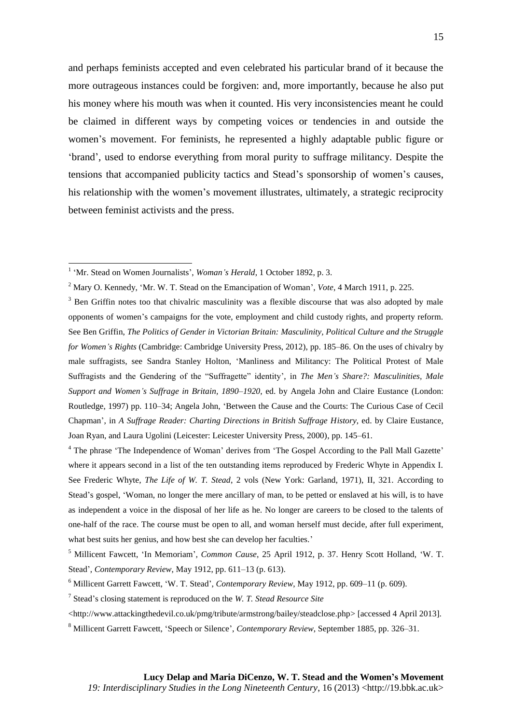and perhaps feminists accepted and even celebrated his particular brand of it because the more outrageous instances could be forgiven: and, more importantly, because he also put his money where his mouth was when it counted. His very inconsistencies meant he could be claimed in different ways by competing voices or tendencies in and outside the women's movement. For feminists, he represented a highly adaptable public figure or 'brand', used to endorse everything from moral purity to suffrage militancy. Despite the tensions that accompanied publicity tactics and Stead's sponsorship of women's causes, his relationship with the women's movement illustrates, ultimately, a strategic reciprocity between feminist activists and the press.

<sup>&</sup>lt;sup>1</sup> 'Mr. Stead on Women Journalists', *Woman's Herald*, 1 October 1892, p. 3.

<sup>2</sup> Mary O. Kennedy, 'Mr. W. T. Stead on the Emancipation of Woman', *Vote*, 4 March 1911, p. 225.

<sup>&</sup>lt;sup>3</sup> Ben Griffin notes too that chivalric masculinity was a flexible discourse that was also adopted by male opponents of women's campaigns for the vote, employment and child custody rights, and property reform. See Ben Griffin, *The Politics of Gender in Victorian Britain: Masculinity, Political Culture and the Struggle for Women's Rights* (Cambridge: Cambridge University Press, 2012), pp. 185–86. On the uses of chivalry by male suffragists, see Sandra Stanley Holton, 'Manliness and Militancy: The Political Protest of Male Suffragists and the Gendering of the "Suffragette" identity', in *The Men's Share?: Masculinities, Male Support and Women's Suffrage in Britain, 1890–1920*, ed. by Angela John and Claire Eustance (London: Routledge, 1997) pp. 110–34; Angela John, 'Between the Cause and the Courts: The Curious Case of Cecil Chapman', in *A Suffrage Reader: Charting Directions in British Suffrage History*, ed. by Claire Eustance, Joan Ryan, and Laura Ugolini (Leicester: Leicester University Press, 2000), pp. 145–61.

<sup>&</sup>lt;sup>4</sup> The phrase 'The Independence of Woman' derives from 'The Gospel According to the Pall Mall Gazette' where it appears second in a list of the ten outstanding items reproduced by Frederic Whyte in Appendix I. See Frederic Whyte, *The Life of W. T. Stead*, 2 vols (New York: Garland, 1971), II, 321. According to Stead's gospel, 'Woman, no longer the mere ancillary of man, to be petted or enslaved at his will, is to have as independent a voice in the disposal of her life as he. No longer are careers to be closed to the talents of one-half of the race. The course must be open to all, and woman herself must decide, after full experiment, what best suits her genius, and how best she can develop her faculties.'

<sup>5</sup> Millicent Fawcett, 'In Memoriam', *Common Cause*, 25 April 1912, p. 37. Henry Scott Holland, 'W. T. Stead', *Contemporary Review*, May 1912, pp. 611–13 (p. 613).

<sup>6</sup> Millicent Garrett Fawcett, 'W. T. Stead', *Contemporary Review*, May 1912, pp. 609–11 (p. 609).

<sup>7</sup> Stead's closing statement is reproduced on the *W. T. Stead Resource Site*

<sup>&</sup>lt;http://www.attackingthedevil.co.uk/pmg/tribute/armstrong/bailey/steadclose.php> [accessed 4 April 2013].

<sup>8</sup> Millicent Garrett Fawcett, 'Speech or Silence', *Contemporary Review*, September 1885, pp. 326–31.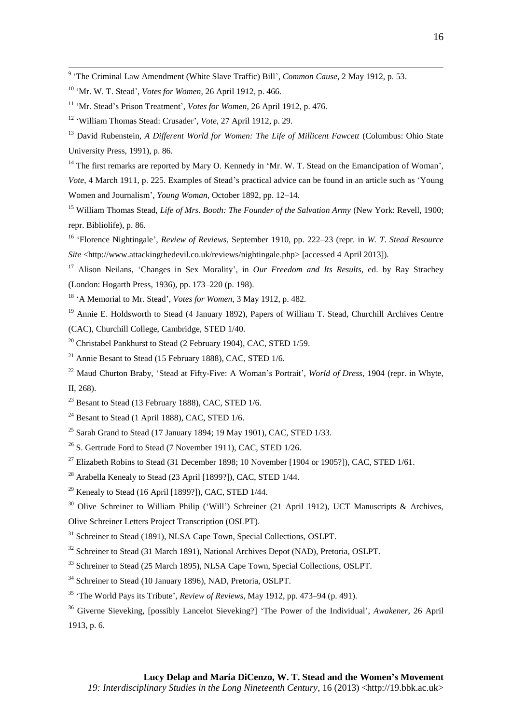9 'The Criminal Law Amendment (White Slave Traffic) Bill', *Common Cause*, 2 May 1912, p. 53.

- <sup>11</sup> 'Mr. Stead's Prison Treatment', *Votes for Women*, 26 April 1912, p. 476.
- <sup>12</sup> 'William Thomas Stead: Crusader', *Vote*, 27 April 1912, p. 29.
- <sup>13</sup> David Rubenstein, *A Different World for Women: The Life of Millicent Fawcett* (Columbus: Ohio State University Press, 1991), p. 86.
- $14$  The first remarks are reported by Mary O. Kennedy in 'Mr. W. T. Stead on the Emancipation of Woman', *Vote*, 4 March 1911, p. 225. Examples of Stead's practical advice can be found in an article such as 'Young Women and Journalism', *Young Woman*, October 1892, pp. 12–14.
- <sup>15</sup> William Thomas Stead, *Life of Mrs. Booth: The Founder of the Salvation Army* (New York: Revell, 1900; repr. Bibliolife), p. 86.
- <sup>16</sup> 'Florence Nightingale', *Review of Reviews*, September 1910, pp. 222–23 (repr. in *W. T. Stead Resource Site* <http://www.attackingthedevil.co.uk/reviews/nightingale.php> [accessed 4 April 2013]).
- <sup>17</sup> Alison Neilans, 'Changes in Sex Morality', in *Our Freedom and Its Results*, ed. by Ray Strachey (London: Hogarth Press, 1936), pp. 173–220 (p. 198).
- <sup>18</sup> 'A Memorial to Mr. Stead', *Votes for Women*, 3 May 1912, p. 482.
- <sup>19</sup> Annie E. Holdsworth to Stead (4 January 1892), Papers of William T. Stead, Churchill Archives Centre (CAC), Churchill College, Cambridge, STED 1/40.
- $20$  Christabel Pankhurst to Stead (2 February 1904), CAC, STED 1/59.
- <sup>21</sup> Annie Besant to Stead (15 February 1888), CAC, STED 1/6.
- <sup>22</sup> Maud Churton Braby, 'Stead at Fifty-Five: A Woman's Portrait', *World of Dress*, 1904 (repr. in Whyte, II, 268).
- $23$  Besant to Stead (13 February 1888), CAC, STED 1/6.
- $24$  Besant to Stead (1 April 1888), CAC, STED 1/6.
- $25$  Sarah Grand to Stead (17 January 1894; 19 May 1901), CAC, STED 1/33.
- <sup>26</sup> S. Gertrude Ford to Stead (7 November 1911), CAC, STED 1/26.
- <sup>27</sup> Elizabeth Robins to Stead (31 December 1898; 10 November [1904 or 1905?]), CAC, STED 1/61.
- <sup>28</sup> Arabella Kenealy to Stead (23 April [1899?]), CAC, STED 1/44.
- $29$  Kenealy to Stead (16 April [1899?]), CAC, STED 1/44.

- <sup>31</sup> Schreiner to Stead (1891), NLSA Cape Town, Special Collections, OSLPT.
- <sup>32</sup> Schreiner to Stead (31 March 1891), National Archives Depot (NAD), Pretoria, OSLPT.
- <sup>33</sup> Schreiner to Stead (25 March 1895), NLSA Cape Town, Special Collections, OSLPT.
- <sup>34</sup> Schreiner to Stead (10 January 1896), NAD, Pretoria, OSLPT.
- <sup>35</sup> 'The World Pays its Tribute', *Review of Reviews*[,](http://search.proquest.com/pageimage.issuebrowselink:searchpublicationissue/2809/The+Review+of+reviews/01912Y05Y01$23May+1912$3b++Vol.+45+$28269$29/45/269?site=britishperiodicals&t:ac=3935425/130EFD21B3E7A0212EE/14&t:cp=maintain/resultcitationblocks) May 1912, pp. 473–94 (p. 491).
- <sup>36</sup> Giverne Sieveking, [possibly Lancelot Sieveking?] 'The Power of the Individual', *Awakener*, 26 April 1913, p. 6.

<sup>10</sup> 'Mr. W. T. Stead', *Votes for Women*, 26 April 1912, p. 466.

<sup>&</sup>lt;sup>30</sup> Olive Schreiner to William Philip ('Will') Schreiner (21 April 1912), UCT Manuscripts & Archives, Olive Schreiner Letters Project Transcription (OSLPT).